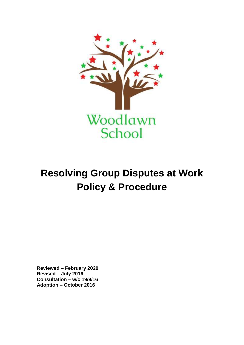

# **Resolving Group Disputes at Work Policy & Procedure**

**Reviewed – February 2020 Revised – July 2016 Consultation – w/c 19/9/16 Adoption – October 2016**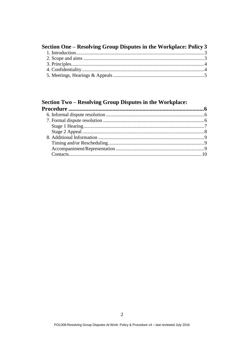| Section One – Resolving Group Disputes in the Workplace: Policy 3 |  |
|-------------------------------------------------------------------|--|
|                                                                   |  |
|                                                                   |  |
|                                                                   |  |
|                                                                   |  |
|                                                                   |  |

## Section Two - Resolving Group Disputes in the Workplace: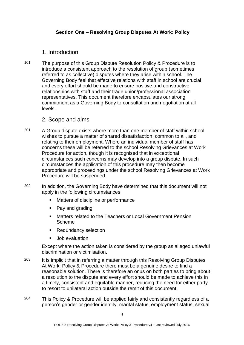#### <span id="page-2-0"></span>**Section One – Resolving Group Disputes At Work: Policy**

#### <span id="page-2-1"></span>1. Introduction

101 The purpose of this Group Dispute Resolution Policy & Procedure is to introduce a consistent approach to the resolution of group (sometimes referred to as collective) disputes where they arise within school. The Governing Body feel that effective relations with staff in school are crucial and every effort should be made to ensure positive and constructive relationships with staff and their trade union/professional association representatives. This document therefore encapsulates our strong commitment as a Governing Body to consultation and negotiation at all levels.

#### <span id="page-2-2"></span>2. Scope and aims

- <sup>201</sup> A Group dispute exists where more than one member of staff within school wishes to pursue a matter of shared dissatisfaction, common to all, and relating to their employment. Where an individual member of staff has concerns these will be referred to the school Resolving Grievances at Work Procedure for action, though it is recognised that in exceptional circumstances such concerns may develop into a group dispute. In such circumstances the application of this procedure may then become appropriate and proceedings under the school Resolving Grievances at Work Procedure will be suspended.
- 202 In addition, the Governing Body have determined that this document will not apply in the following circumstances:
	- **Matters of discipline or performance**
	- Pay and grading
	- Matters related to the Teachers or Local Government Pension Scheme
	- Redundancy selection
	- **Job evaluation**

Except where the action taken is considered by the group as alleged unlawful discrimination or victimisation.

- 203 It is implicit that in referring a matter through this Resolving Group Disputes At Work: Policy & Procedure there must be a genuine desire to find a reasonable solution. There is therefore an onus on both parties to bring about a resolution to the dispute and every effort should be made to achieve this in a timely, consistent and equitable manner, reducing the need for either party to resort to unilateral action outside the remit of this document.
- 204 This Policy & Procedure will be applied fairly and consistently regardless of a person's gender or gender identity, marital status, employment status, sexual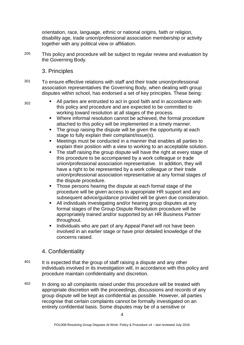orientation, race, language, ethnic or national origins, faith or religion, disability age, trade union/professional association membership or activity together with any political view or affiliation.

- 205 This policy and procedure will be subject to regular review and evaluation by the Governing Body.
	- 3. Principles
- <span id="page-3-0"></span>301 To ensure effective relations with staff and their trade union/professional association representatives the Governing Body, when dealing with group disputes within school, has endorsed a set of key principles. These being:
- $302$  **All parties are entrusted to act in good faith and in accordance with** this policy and procedure and are expected to be committed to working toward resolution at all stages of the process.
	- Where informal resolution cannot be achieved, the formal procedure attached to this policy will be implemented in a timely manner.
	- The group raising the dispute will be given the opportunity at each stage to fully explain their complaint/issue(s).
	- Meetings must be conducted in a manner that enables all parties to explain their position with a view to working to an acceptable solution.
	- The staff raising the group dispute will have the right at every stage of this procedure to be accompanied by a work colleague or trade union/professional association representative. In addition, they will have a right to be represented by a work colleague or their trade union/professional association representative at any formal stages of the dispute procedure.
	- Those persons hearing the dispute at each formal stage of the procedure will be given access to appropriate HR support and any subsequent advice/guidance provided will be given due consideration.
	- All individuals investigating and/or hearing group disputes at any formal stages of the Group Dispute Resolution procedure will be appropriately trained and/or supported by an HR Business Partner throughout.
	- Individuals who are part of any Appeal Panel will not have been involved in an earlier stage or have prior detailed knowledge of the concerns raised.

### <span id="page-3-1"></span>4. Confidentiality

- 401 It is expected that the group of staff raising a dispute and any other individuals involved in its investigation will, in accordance with this policy and procedure maintain confidentiality and discretion.
- 402 In doing so all complaints raised under this procedure will be treated with appropriate discretion with the proceedings, discussions and records of any group dispute will be kept as confidential as possible. However, all parties recognise that certain complaints cannot be formally investigated on an entirely confidential basis. Some disputes may be of a sensitive or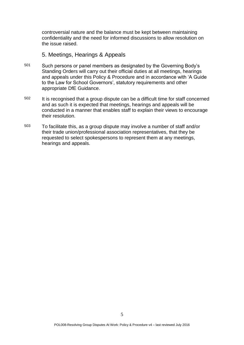controversial nature and the balance must be kept between maintaining confidentiality and the need for informed discussions to allow resolution on the issue raised.

#### <span id="page-4-0"></span>5. Meetings, Hearings & Appeals

- 501 Such persons or panel members as designated by the Governing Body's Standing Orders will carry out their official duties at all meetings, hearings and appeals under this Policy & Procedure and in accordance with 'A Guide to the Law for School Governors', statutory requirements and other appropriate DfE Guidance.
- 502 It is recognised that a group dispute can be a difficult time for staff concerned and as such it is expected that meetings, hearings and appeals will be conducted in a manner that enables staff to explain their views to encourage their resolution.
- 503 To facilitate this, as a group dispute may involve a number of staff and/or their trade union/professional association representatives, that they be requested to select spokespersons to represent them at any meetings, hearings and appeals.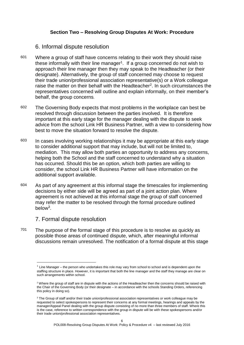#### **Section Two – Resolving Group Disputes At Work: Procedure**

#### <span id="page-5-1"></span><span id="page-5-0"></span>6. Informal dispute resolution

- 601 Where a group of staff have concerns relating to their work they should raise these informally with their line manager<sup>1</sup>. If a group concerned do not wish to approach their line manager then they may speak to the Headteacher (or their designate). Alternatively, the group of staff concerned may choose to request their trade union/professional association representative(s) or a Work colleague raise the matter on their behalf with the Headteacher<sup>2</sup>. In such circumstances the representatives concerned will outline and explain informally, on their member's behalf, the group concerns.
- 602 The Governing Body expects that most problems in the workplace can best be resolved through discussion between the parties involved. It is therefore important at this early stage for the manager dealing with the dispute to seek advice from the school Link HR Business Partner, with a view to considering how best to move the situation forward to resolve the dispute.
- <sup>603</sup> In cases involving working relationships it may be appropriate at this early stage to consider additional support that may include, but will not be limited to, mediation. This may allow both parties an opportunity to address any concerns, helping both the School and the staff concerned to understand why a situation has occurred. Should this be an option, which both parties are willing to consider, the school Link HR Business Partner will have information on the additional support available.
- 604 As part of any agreement at this informal stage the timescales for implementing decisions by either side will be agreed as part of a joint action plan. Where agreement is not achieved at this informal stage the group of staff concerned may refer the matter to be resolved through the formal procedure outlined below<sup>3</sup>.

#### <span id="page-5-2"></span>7. Formal dispute resolution

 $\overline{a}$ 

701 The purpose of the formal stage of this procedure is to resolve as quickly as possible those areas of continued dispute, which, after meaningful informal discussions remain unresolved. The notification of a formal dispute at this stage

 $<sup>1</sup>$  Line Manager – the person who undertakes this role may vary from school to school and is dependent upon the</sup> staffing structure in place. However, it is important that both the line manager and the staff they manage are clear on such arrangements within school.

 $2$  Where the group of staff are in dispute with the actions of the Headteacher then the concerns should be raised with the Chair of the Governing Body (or their designate – in accordance with the schools Standing Orders, referencing this policy in doing so).

<sup>&</sup>lt;sup>3</sup> The Group of staff and/or their trade union/professional association representatives or work colleague may be requested to select spokespersons to represent their concerns at any formal meetings, hearings and appeals by the manager/Appeal Panel dealing with the group dispute consisting of no more than three members of staff. Where this is the case, reference to written correspondence with the group in dispute will be with these spokespersons and/or their trade union/professional association representatives.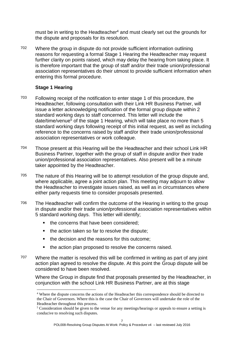must be in writing to the Headteacher<sup>4</sup> and must clearly set out the grounds for the dispute and proposals for its resolution.

702 Where the group in dispute do not provide sufficient information outlining reasons for requesting a formal Stage 1 Hearing the Headteacher may request further clarity on points raised, which may delay the hearing from taking place. It is therefore important that the group of staff and/or their trade union/professional association representatives do their utmost to provide sufficient information when entering this formal procedure.

#### <span id="page-6-0"></span>**Stage 1 Hearing**

- 703 Following receipt of the notification to enter stage 1 of this procedure, the Headteacher, following consultation with their Link HR Business Partner, will issue a letter acknowledging notification of the formal group dispute within 2 standard working days to staff concerned. This letter will include the date/time/venue<sup>5</sup> of the stage 1 Hearing, which will take place no more than 5 standard working days following receipt of this initial request, as well as including reference to the concerns raised by staff and/or their trade union/professional association representatives or work colleague.
- 704 Those present at this Hearing will be the Headteacher and their school Link HR Business Partner, together with the group of staff in dispute and/or their trade union/professional association representatives. Also present will be a minute taker appointed by the Headteacher.
- 705 The nature of this Hearing will be to attempt resolution of the group dispute and, where applicable, agree a joint action plan. This meeting may adjourn to allow the Headteacher to investigate issues raised, as well as in circumstances where either party requests time to consider proposals presented.
- 706 The Headteacher will confirm the outcome of the Hearing in writing to the group in dispute and/or their trade union/professional association representatives within 5 standard working days. This letter will identify;
	- the concerns that have been considered:
	- $\blacksquare$  the action taken so far to resolve the dispute;
	- the decision and the reasons for this outcome;
	- the action plan proposed to resolve the concerns raised.
- 707 Where the matter is resolved this will be confirmed in writing as part of any joint action plan agreed to resolve the dispute. At this point the Group dispute will be considered to have been resolved.

Where the Group in dispute find that proposals presented by the Headteacher, in conjunction with the school Link HR Business Partner, are at this stage

 $\overline{a}$ <sup>4</sup> Where the dispute concerns the actions of the Headteacher this correspondence should be directed to the Chair of Governors. Where this is the case the Chair of Governors will undertake the role of the Headteacher throughout this process.

 $5$  Consideration should be given to the venue for any meetings/hearings or appeals to ensure a setting is conducive to resolving such disputes.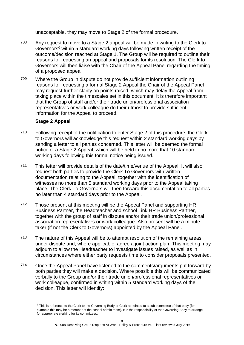unacceptable, they may move to Stage 2 of the formal procedure.

- 708 Any request to move to a Stage 2 appeal will be made in writing to the Clerk to Governors<sup>6</sup> within 5 standard working days following written receipt of the outcome/decision reached at Stage 1. The Group will be required to outline their reasons for requesting an appeal and proposals for its resolution. The Clerk to Governors will then liaise with the Chair of the Appeal Panel regarding the timing of a proposed appeal
- 709 Where the Group in dispute do not provide sufficient information outlining reasons for requesting a formal Stage 2 Appeal the Chair of the Appeal Panel may request further clarity on points raised, which may delay the Appeal from taking place within the timescales set in this document. It is therefore important that the Group of staff and/or their trade union/professional association representatives or work colleague do their utmost to provide sufficient information for the Appeal to proceed.

#### <span id="page-7-0"></span>**Stage 2 Appeal**

 $\overline{a}$ 

- 710 Following receipt of the notification to enter Stage 2 of this procedure, the Clerk to Governors will acknowledge this request within 2 standard working days by sending a letter to all parties concerned. This letter will be deemed the formal notice of a Stage 2 Appeal, which will be held in no more that 10 standard working days following this formal notice being issued.
- 711 This letter will provide details of the date/time/venue of the Appeal. It will also request both parties to provide the Clerk To Governors with written documentation relating to the Appeal, together with the identification of witnesses no more than 5 standard working days prior to the Appeal taking place. The Clerk To Governors will then forward this documentation to all parties no later than 4 standard days prior to the Appeal.
- 712 Those present at this meeting will be the Appeal Panel and supporting HR Business Partner, the Headteacher and school Link HR Business Partner, together with the group of staff in dispute and/or their trade union/professional association representatives or work colleague. Also present will be a minute taker (if not the Clerk to Governors) appointed by the Appeal Panel.
- 713 The nature of this Appeal will be to attempt resolution of the remaining areas under dispute and, where applicable, agree a joint action plan. This meeting may adjourn to allow the Headteacher to investigate issues raised, as well as in circumstances where either party requests time to consider proposals presented.
- 714 Once the Appeal Panel have listened to the comments/arguments put forward by both parties they will make a decision. Where possible this will be communicated verbally to the Group and/or their trade union/professional representatives or work colleague, confirmed in writing within 5 standard working days of the decision. This letter will identify:

<sup>&</sup>lt;sup>6</sup> This is reference to the Clerk to the Governing Body or Clerk appointed to a sub committee of that body (for example this may be a member of the school admin team). It is the responsibility of the Governing Body to arrange for appropriate clerking for its committees.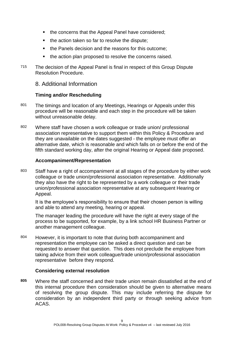- the concerns that the Appeal Panel have considered;
- $\blacksquare$  the action taken so far to resolve the dispute;
- the Panels decision and the reasons for this outcome;
- the action plan proposed to resolve the concerns raised.
- 715 The decision of the Appeal Panel is final in respect of this Group Dispute Resolution Procedure.

<span id="page-8-0"></span>8. Additional Information

#### <span id="page-8-1"></span>**Timing and/or Rescheduling**

- 801 The timings and location of any Meetings, Hearings or Appeals under this procedure will be reasonable and each step in the procedure will be taken without unreasonable delay.
- 802 Where staff have chosen a work colleague or trade union/ professional association representative to support them within this Policy & Procedure and they are unavailable on the dates suggested - the employee must offer an alternative date, which is reasonable and which falls on or before the end of the fifth standard working day, after the original Hearing or Appeal date proposed.

#### <span id="page-8-2"></span>**Accompaniment/Representation**

803 Staff have a right of accompaniment at all stages of the procedure by either work colleague or trade union/professional association representative. Additionally they also have the right to be represented by a work colleague or their trade union/professional association representative at any subsequent Hearing or Appeal.

It is the employee's responsibility to ensure that their chosen person is willing and able to attend any meeting, hearing or appeal.

The manager leading the procedure will have the right at every stage of the process to be supported, for example, by a link school HR Business Partner or another management colleague.

804 However, it is important to note that during both accompaniment and representation the employee can be asked a direct question and can be requested to answer that question. This does not preclude the employee from taking advice from their work colleague/trade union/professional association representative before they respond.

#### **Considering external resolution**

**805** Where the staff concerned and their trade union remain dissatisfied at the end of this internal procedure then consideration should be given to alternative means of resolving the group dispute. This may include referring the dispute for consideration by an independent third party or through seeking advice from ACAS.